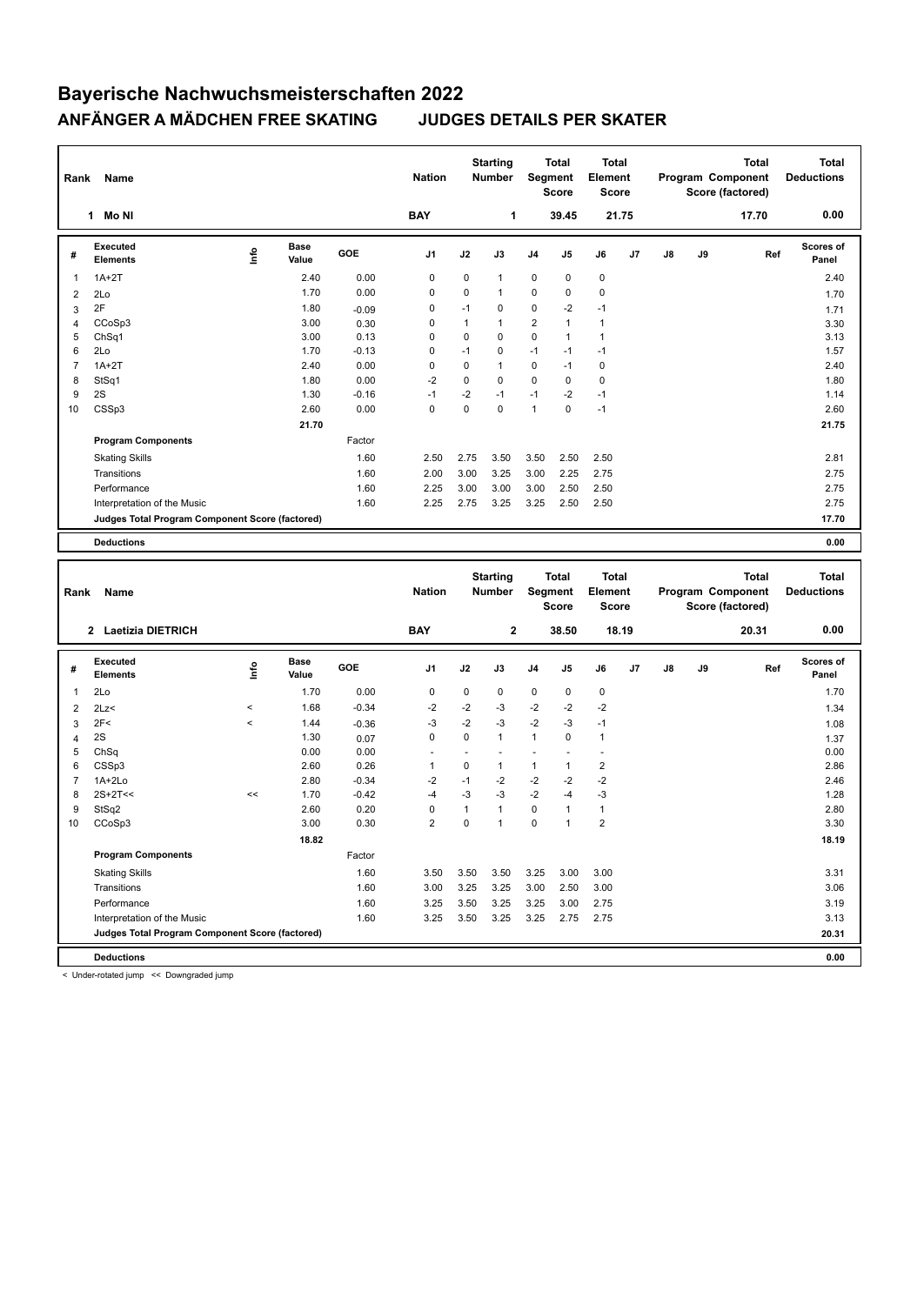## **Bayerische Nachwuchsmeisterschaften 2022 ANFÄNGER A MÄDCHEN FREE SKATING JUDGES DETAILS PER SKATER**

| Rank           | Name                                            |      |                      |         | <b>Nation</b>  |             | <b>Starting</b><br>Number        | Segment        | <b>Total</b><br><b>Score</b> | <b>Total</b><br>Element<br><b>Score</b> |    |    |    | <b>Total</b><br>Program Component<br>Score (factored) | <b>Total</b><br><b>Deductions</b> |
|----------------|-------------------------------------------------|------|----------------------|---------|----------------|-------------|----------------------------------|----------------|------------------------------|-----------------------------------------|----|----|----|-------------------------------------------------------|-----------------------------------|
|                | Mo NI<br>$\mathbf{1}$                           |      |                      |         | <b>BAY</b>     |             | 1                                |                | 39.45                        | 21.75                                   |    |    |    | 17.70                                                 | 0.00                              |
| #              | Executed<br><b>Elements</b>                     | lnfo | <b>Base</b><br>Value | GOE     | J <sub>1</sub> | J2          | J3                               | J <sub>4</sub> | J <sub>5</sub>               | J6                                      | J7 | J8 | J9 | Ref                                                   | <b>Scores of</b><br>Panel         |
| 1              | $1A+2T$                                         |      | 2.40                 | 0.00    | 0              | 0           | $\mathbf{1}$                     | 0              | 0                            | 0                                       |    |    |    |                                                       | 2.40                              |
| 2              | 2Lo                                             |      | 1.70                 | 0.00    | 0              | $\Omega$    | $\mathbf{1}$                     | 0              | $\Omega$                     | $\mathbf 0$                             |    |    |    |                                                       | 1.70                              |
| 3              | 2F                                              |      | 1.80                 | $-0.09$ | 0              | $-1$        | 0                                | 0              | $-2$                         | $-1$                                    |    |    |    |                                                       | 1.71                              |
| 4              | CCoSp3                                          |      | 3.00                 | 0.30    | 0              | 1           | 1                                | 2              | $\mathbf{1}$                 | $\mathbf{1}$                            |    |    |    |                                                       | 3.30                              |
| 5              | ChSq1                                           |      | 3.00                 | 0.13    | 0              | $\mathbf 0$ | 0                                | 0              | $\mathbf{1}$                 | $\mathbf{1}$                            |    |    |    |                                                       | 3.13                              |
| 6              | 2Lo                                             |      | 1.70                 | $-0.13$ | 0              | $-1$        | 0                                | $-1$           | $-1$                         | $-1$                                    |    |    |    |                                                       | 1.57                              |
| $\overline{7}$ | $1A+2T$                                         |      | 2.40                 | 0.00    | $\Omega$       | $\Omega$    | $\mathbf{1}$                     | $\mathbf 0$    | $-1$                         | $\mathbf 0$                             |    |    |    |                                                       | 2.40                              |
| 8              | StSq1                                           |      | 1.80                 | 0.00    | $-2$           | $\Omega$    | $\Omega$                         | $\Omega$       | $\Omega$                     | $\mathbf 0$                             |    |    |    |                                                       | 1.80                              |
| 9              | 2S                                              |      | 1.30                 | $-0.16$ | -1             | $-2$        | $-1$                             | $-1$           | $-2$                         | $-1$                                    |    |    |    |                                                       | 1.14                              |
| 10             | CSSp3                                           |      | 2.60                 | 0.00    | $\mathbf 0$    | $\Omega$    | $\mathbf 0$                      | $\mathbf{1}$   | $\mathbf 0$                  | $-1$                                    |    |    |    |                                                       | 2.60                              |
|                |                                                 |      | 21.70                |         |                |             |                                  |                |                              |                                         |    |    |    |                                                       | 21.75                             |
|                | <b>Program Components</b>                       |      |                      | Factor  |                |             |                                  |                |                              |                                         |    |    |    |                                                       |                                   |
|                | <b>Skating Skills</b>                           |      |                      | 1.60    | 2.50           | 2.75        | 3.50                             | 3.50           | 2.50                         | 2.50                                    |    |    |    |                                                       | 2.81                              |
|                | Transitions                                     |      |                      | 1.60    | 2.00           | 3.00        | 3.25                             | 3.00           | 2.25                         | 2.75                                    |    |    |    |                                                       | 2.75                              |
|                | Performance                                     |      |                      | 1.60    | 2.25           | 3.00        | 3.00                             | 3.00           | 2.50                         | 2.50                                    |    |    |    |                                                       | 2.75                              |
|                | Interpretation of the Music                     |      |                      | 1.60    | 2.25           | 2.75        | 3.25                             | 3.25           | 2.50                         | 2.50                                    |    |    |    |                                                       | 2.75                              |
|                | Judges Total Program Component Score (factored) |      |                      |         |                |             |                                  |                |                              |                                         |    |    |    |                                                       | 17.70                             |
|                |                                                 |      |                      |         |                |             |                                  |                |                              |                                         |    |    |    |                                                       |                                   |
|                | <b>Deductions</b>                               |      |                      |         |                |             |                                  |                |                              |                                         |    |    |    |                                                       | 0.00                              |
| Rank           | Name                                            |      |                      |         | <b>Nation</b>  |             | <b>Starting</b><br><b>Number</b> | Segment        | <b>Total</b><br>Score        | <b>Total</b><br>Element<br><b>Score</b> |    |    |    | <b>Total</b><br>Program Component<br>Score (factored) | <b>Total</b><br><b>Deductions</b> |

|    |                                                 |          |                      |            |                |             |                |                | Score          | <b>Score</b>   |       |    |    | Score (factored) |                    |
|----|-------------------------------------------------|----------|----------------------|------------|----------------|-------------|----------------|----------------|----------------|----------------|-------|----|----|------------------|--------------------|
|    | 2 Laetizia DIETRICH                             |          |                      |            | <b>BAY</b>     |             | $\overline{2}$ |                | 38.50          |                | 18.19 |    |    | 20.31            | 0.00               |
| #  | <b>Executed</b><br><b>Elements</b>              | ١mfo     | <b>Base</b><br>Value | <b>GOE</b> | J <sub>1</sub> | J2          | J3             | J <sub>4</sub> | J <sub>5</sub> | J6             | J7    | J8 | J9 | Ref              | Scores of<br>Panel |
| 1  | 2Lo                                             |          | 1.70                 | 0.00       | 0              | 0           | $\mathbf 0$    | $\mathbf 0$    | $\Omega$       | $\pmb{0}$      |       |    |    |                  | 1.70               |
| 2  | 2Lz<                                            | $\hat{}$ | 1.68                 | $-0.34$    | $-2$           | $-2$        | $-3$           | $-2$           | $-2$           | $-2$           |       |    |    |                  | 1.34               |
| 3  | 2F<                                             | $\hat{}$ | 1.44                 | $-0.36$    | $-3$           | $-2$        | $-3$           | $-2$           | $-3$           | $-1$           |       |    |    |                  | 1.08               |
| 4  | 2S                                              |          | 1.30                 | 0.07       | 0              | $\Omega$    | $\mathbf{1}$   | 1              | $\Omega$       | 1              |       |    |    |                  | 1.37               |
| 5  | ChSq                                            |          | 0.00                 | 0.00       |                |             |                |                |                |                |       |    |    |                  | 0.00               |
| 6  | CSSp3                                           |          | 2.60                 | 0.26       | 1              | 0           | $\mathbf{1}$   | 1              | 1              | $\overline{2}$ |       |    |    |                  | 2.86               |
| 7  | $1A+2Lo$                                        |          | 2.80                 | $-0.34$    | $-2$           | $-1$        | $-2$           | $-2$           | $-2$           | $-2$           |       |    |    |                  | 2.46               |
| 8  | $2S+2T<<$                                       | <<       | 1.70                 | $-0.42$    | $-4$           | $-3$        | $-3$           | $-2$           | $-4$           | -3             |       |    |    |                  | 1.28               |
| 9  | StSq2                                           |          | 2.60                 | 0.20       | 0              | 1           | 1              | $\mathbf 0$    | 1              | $\mathbf{1}$   |       |    |    |                  | 2.80               |
| 10 | CCoSp3                                          |          | 3.00                 | 0.30       | $\overline{2}$ | $\mathbf 0$ | 1              | $\mathbf 0$    | $\overline{1}$ | $\overline{2}$ |       |    |    |                  | 3.30               |
|    |                                                 |          | 18.82                |            |                |             |                |                |                |                |       |    |    |                  | 18.19              |
|    | <b>Program Components</b>                       |          |                      | Factor     |                |             |                |                |                |                |       |    |    |                  |                    |
|    | <b>Skating Skills</b>                           |          |                      | 1.60       | 3.50           | 3.50        | 3.50           | 3.25           | 3.00           | 3.00           |       |    |    |                  | 3.31               |
|    | Transitions                                     |          |                      | 1.60       | 3.00           | 3.25        | 3.25           | 3.00           | 2.50           | 3.00           |       |    |    |                  | 3.06               |
|    | Performance                                     |          |                      | 1.60       | 3.25           | 3.50        | 3.25           | 3.25           | 3.00           | 2.75           |       |    |    |                  | 3.19               |
|    | Interpretation of the Music                     |          |                      | 1.60       | 3.25           | 3.50        | 3.25           | 3.25           | 2.75           | 2.75           |       |    |    |                  | 3.13               |
|    | Judges Total Program Component Score (factored) |          |                      |            |                |             |                |                |                |                |       |    |    |                  | 20.31              |
|    | <b>Deductions</b>                               |          |                      |            |                |             |                |                |                |                |       |    |    |                  | 0.00               |

< Under-rotated jump << Downgraded jump